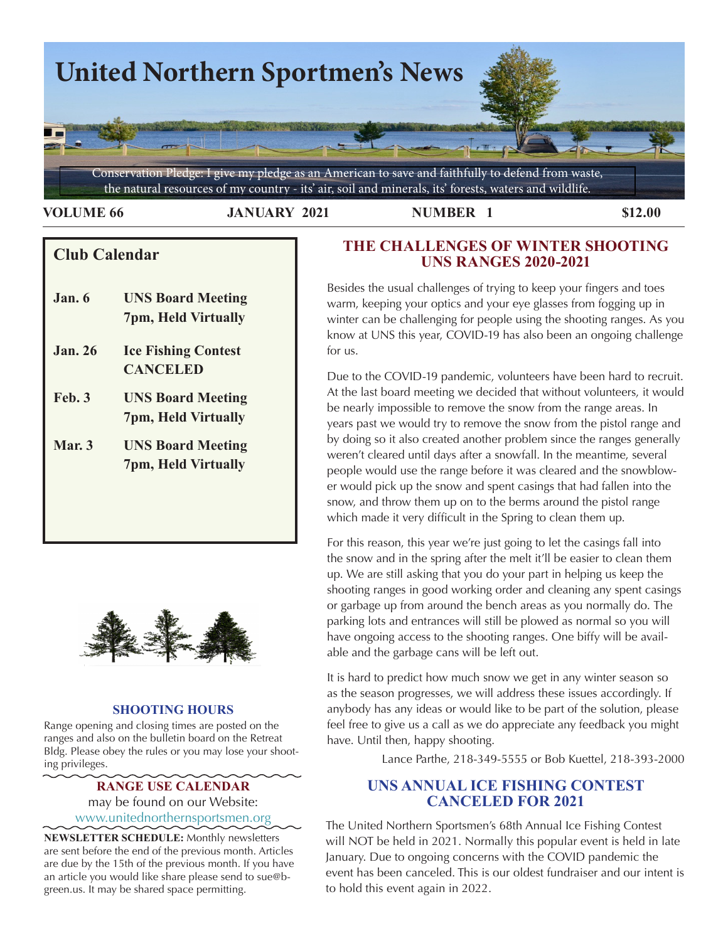

**VOLUME 66 JANUARY 2021 NUMBER 1 \$12.00** 

# **S Club Calendar**

- **Jan. 6 UNS Board Meeting 7pm, Held Virtually**
- **Jan. 26 Ice Fishing Contest CANCELED**
- **Feb. 3 UNS Board Meeting 7pm, Held Virtually**
- **Mar. 3 UNS Board Meeting 7pm, Held Virtually**



## **SHOOTING HOURS**

Range opening and closing times are posted on the ranges and also on the bulletin board on the Retreat Bldg. Please obey the rules or you may lose your shooting privileges.

## **RANGE USE CALENDAR**  may be found on our Website: [www.unitednorthernsportsmen.org](http://www.unitednorthernsportsmen.org)

**NEWSLETTER SCHEDULE:** Monthly newsletters are sent before the end of the previous month. Articles are due by the 15th of the previous month. If you have an article you would like share please send to sue@bgreen.us. It may be shared space permitting.

# **THE CHALLENGES OF WINTER SHOOTING UNS RANGES 2020-2021**

Besides the usual challenges of trying to keep your fingers and toes warm, keeping your optics and your eye glasses from fogging up in winter can be challenging for people using the shooting ranges. As you know at UNS this year, COVID-19 has also been an ongoing challenge for us.

Due to the COVID-19 pandemic, volunteers have been hard to recruit. At the last board meeting we decided that without volunteers, it would be nearly impossible to remove the snow from the range areas. In years past we would try to remove the snow from the pistol range and by doing so it also created another problem since the ranges generally weren't cleared until days after a snowfall. In the meantime, several people would use the range before it was cleared and the snowblower would pick up the snow and spent casings that had fallen into the snow, and throw them up on to the berms around the pistol range which made it very difficult in the Spring to clean them up.

Yorik's blender <sup>g</sup> pinterest.se For this reason, this year we're just going to let the casings fall into the snow and in the spring after the melt it'll be easier to clean them up. We are still asking that you do your part in helping us keep the shooting ranges in good working order and cleaning any spent casings or garbage up from around the bench areas as you normally do. The parking lots and entrances will still be plowed as normal so you will have ongoing access to the shooting ranges. One biffy will be available and the garbage cans will be left out.

> It is hard to predict how much snow we get in any winter season so as the season progresses, we will address these issues accordingly. If anybody has any ideas or would like to be part of the solution, please feel free to give us a call as we do appreciate any feedback you might have. Until then, happy shooting.

> > Lance Parthe, 218-349-5555 or Bob Kuettel, 218-393-2000

# **UNS ANNUAL ICE FISHING CONTEST CANCELED FOR 2021**

The United Northern Sportsmen's 68th Annual Ice Fishing Contest will NOT be held in 2021. Normally this popular event is held in late January. Due to ongoing concerns with the COVID pandemic the event has been canceled. This is our oldest fundraiser and our intent is to hold this event again in 2022.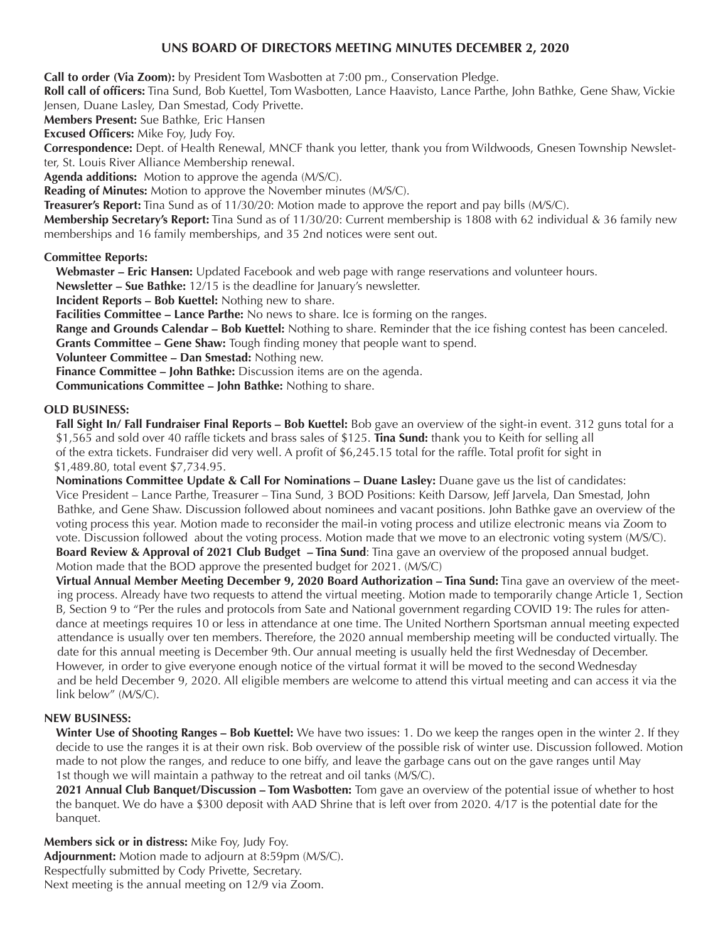## **UNS BOARD OF DIRECTORS MEETING MINUTES DECEMBER 2, 2020**

**Call to order (Via Zoom):** by President Tom Wasbotten at 7:00 pm., Conservation Pledge.

**Roll call of officers:** Tina Sund, Bob Kuettel, Tom Wasbotten, Lance Haavisto, Lance Parthe, John Bathke, Gene Shaw, Vickie Jensen, Duane Lasley, Dan Smestad, Cody Privette.

**Members Present:** Sue Bathke, Eric Hansen

**Excused Officers:** Mike Foy, Judy Foy.

**Correspondence:** Dept. of Health Renewal, MNCF thank you letter, thank you from Wildwoods, Gnesen Township Newsletter, St. Louis River Alliance Membership renewal.

**Agenda additions:** Motion to approve the agenda (M/S/C).

**Reading of Minutes:** Motion to approve the November minutes (M/S/C).

**Treasurer's Report:** Tina Sund as of 11/30/20: Motion made to approve the report and pay bills (M/S/C).

**Membership Secretary's Report:** Tina Sund as of 11/30/20: Current membership is 1808 with 62 individual & 36 family new memberships and 16 family memberships, and 35 2nd notices were sent out.

#### **Committee Reports:**

**Webmaster – Eric Hansen:** Updated Facebook and web page with range reservations and volunteer hours.

**Newsletter – Sue Bathke:** 12/15 is the deadline for January's newsletter.

**Incident Reports – Bob Kuettel:** Nothing new to share.

**Facilities Committee – Lance Parthe:** No news to share. Ice is forming on the ranges.

**Range and Grounds Calendar – Bob Kuettel:** Nothing to share. Reminder that the ice fishing contest has been canceled.

**Grants Committee – Gene Shaw:** Tough finding money that people want to spend.

**Volunteer Committee – Dan Smestad:** Nothing new.

**Finance Committee – John Bathke:** Discussion items are on the agenda.

**Communications Committee – John Bathke:** Nothing to share.

#### **OLD BUSINESS:**

**Fall Sight In/ Fall Fundraiser Final Reports – Bob Kuettel:** Bob gave an overview of the sight-in event. 312 guns total for a \$1,565 and sold over 40 raffle tickets and brass sales of \$125. **Tina Sund:** thank you to Keith for selling all of the extra tickets. Fundraiser did very well. A profit of \$6,245.15 total for the raffle. Total profit for sight in \$1,489.80, total event \$7,734.95.

**Nominations Committee Update & Call For Nominations – Duane Lasley:** Duane gave us the list of candidates: Vice President – Lance Parthe, Treasurer – Tina Sund, 3 BOD Positions: Keith Darsow, Jeff Jarvela, Dan Smestad, John Bathke, and Gene Shaw. Discussion followed about nominees and vacant positions. John Bathke gave an overview of the voting process this year. Motion made to reconsider the mail-in voting process and utilize electronic means via Zoom to vote. Discussion followed about the voting process. Motion made that we move to an electronic voting system (M/S/C). **Board Review & Approval of 2021 Club Budget – Tina Sund**: Tina gave an overview of the proposed annual budget. Motion made that the BOD approve the presented budget for 2021. (M/S/C)

**Virtual Annual Member Meeting December 9, 2020 Board Authorization – Tina Sund:** Tina gave an overview of the meet ing process. Already have two requests to attend the virtual meeting. Motion made to temporarily change Article 1, Section B, Section 9 to "Per the rules and protocols from Sate and National government regarding COVID 19: The rules for attendance at meetings requires 10 or less in attendance at one time. The United Northern Sportsman annual meeting expected attendance is usually over ten members. Therefore, the 2020 annual membership meeting will be conducted virtually. The date for this annual meeting is December 9th. Our annual meeting is usually held the first Wednesday of December. However, in order to give everyone enough notice of the virtual format it will be moved to the second Wednesday and be held December 9, 2020. All eligible members are welcome to attend this virtual meeting and can access it via the link below" (M/S/C).

#### **NEW BUSINESS:**

**Winter Use of Shooting Ranges – Bob Kuettel:** We have two issues: 1. Do we keep the ranges open in the winter 2. If they decide to use the ranges it is at their own risk. Bob overview of the possible risk of winter use. Discussion followed. Motion made to not plow the ranges, and reduce to one biffy, and leave the garbage cans out on the gave ranges until May 1st though we will maintain a pathway to the retreat and oil tanks (M/S/C).

**2021 Annual Club Banquet/Discussion – Tom Wasbotten:** Tom gave an overview of the potential issue of whether to host the banquet. We do have a \$300 deposit with AAD Shrine that is left over from 2020. 4/17 is the potential date for the banquet.

**Members sick or in distress:** Mike Foy, Judy Foy. **Adjournment:** Motion made to adjourn at 8:59pm (M/S/C). Respectfully submitted by Cody Privette, Secretary. Next meeting is the annual meeting on 12/9 via Zoom.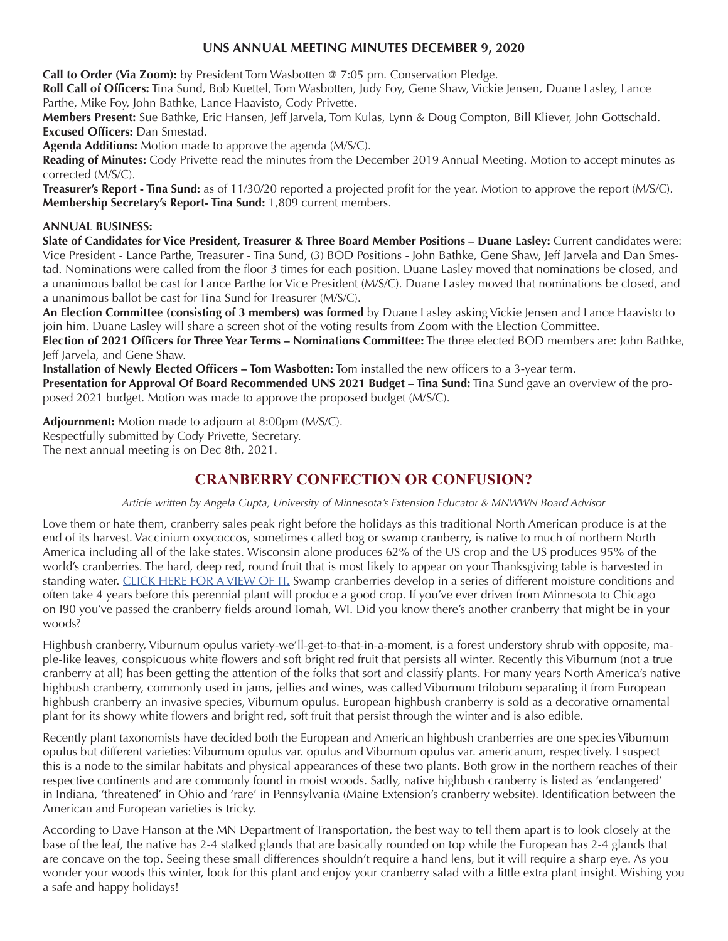## **UNS ANNUAL MEETING MINUTES DECEMBER 9, 2020**

**Call to Order (Via Zoom):** by President Tom Wasbotten @ 7:05 pm. Conservation Pledge.

**Roll Call of Officers:** Tina Sund, Bob Kuettel, Tom Wasbotten, Judy Foy, Gene Shaw, Vickie Jensen, Duane Lasley, Lance Parthe, Mike Foy, John Bathke, Lance Haavisto, Cody Privette.

**Members Present:** Sue Bathke, Eric Hansen, Jeff Jarvela, Tom Kulas, Lynn & Doug Compton, Bill Kliever, John Gottschald. **Excused Officers:** Dan Smestad.

**Agenda Additions:** Motion made to approve the agenda (M/S/C).

**Reading of Minutes:** Cody Privette read the minutes from the December 2019 Annual Meeting. Motion to accept minutes as corrected (M/S/C).

**Treasurer's Report - Tina Sund:** as of 11/30/20 reported a projected profit for the year. Motion to approve the report (M/S/C). **Membership Secretary's Report- Tina Sund:** 1,809 current members.

## **ANNUAL BUSINESS:**

**Slate of Candidates for Vice President, Treasurer & Three Board Member Positions – Duane Lasley:** Current candidates were: Vice President - Lance Parthe, Treasurer - Tina Sund, (3) BOD Positions - John Bathke, Gene Shaw, Jeff Jarvela and Dan Smestad. Nominations were called from the floor 3 times for each position. Duane Lasley moved that nominations be closed, and a unanimous ballot be cast for Lance Parthe for Vice President (M/S/C). Duane Lasley moved that nominations be closed, and a unanimous ballot be cast for Tina Sund for Treasurer (M/S/C).

**An Election Committee (consisting of 3 members) was formed** by Duane Lasley asking Vickie Jensen and Lance Haavisto to join him. Duane Lasley will share a screen shot of the voting results from Zoom with the Election Committee.

**Election of 2021 Officers for Three Year Terms – Nominations Committee:** The three elected BOD members are: John Bathke, Jeff Jarvela, and Gene Shaw.

**Installation of Newly Elected Officers – Tom Wasbotten:** Tom installed the new officers to a 3-year term.

**Presentation for Approval Of Board Recommended UNS 2021 Budget – Tina Sund:** Tina Sund gave an overview of the proposed 2021 budget. Motion was made to approve the proposed budget (M/S/C).

**Adjournment:** Motion made to adjourn at 8:00pm (M/S/C). Respectfully submitted by Cody Privette, Secretary. The next annual meeting is on Dec 8th, 2021.

# **CRANBERRY CONFECTION OR CONFUSION?**

*Article written by Angela Gupta, University of Minnesota's Extension Educator & MNWWN Board Advisor*

Love them or hate them, cranberry sales peak right before the holidays as this traditional North American produce is at the end of its harvest. Vaccinium oxycoccos, sometimes called bog or swamp cranberry, is native to much of northern North America including all of the lake states. Wisconsin alone produces 62% of the US crop and the US produces 95% of the world's cranberries. The hard, deep red, round fruit that is most likely to appear on your Thanksgiving table is harvested in standing water. [CLICK HERE FOR A VIEW OF IT.](https://youtu.be/pGWP86dZ-_0) Swamp cranberries develop in a series of different moisture conditions and often take 4 years before this perennial plant will produce a good crop. If you've ever driven from Minnesota to Chicago on I90 you've passed the cranberry fields around Tomah, WI. Did you know there's another cranberry that might be in your woods?

Highbush cranberry, Viburnum opulus variety-we'll-get-to-that-in-a-moment, is a forest understory shrub with opposite, maple-like leaves, conspicuous white flowers and soft bright red fruit that persists all winter. Recently this Viburnum (not a true cranberry at all) has been getting the attention of the folks that sort and classify plants. For many years North America's native highbush cranberry, commonly used in jams, jellies and wines, was called Viburnum trilobum separating it from European highbush cranberry an invasive species, Viburnum opulus. European highbush cranberry is sold as a decorative ornamental plant for its showy white flowers and bright red, soft fruit that persist through the winter and is also edible.

Recently plant taxonomists have decided both the European and American highbush cranberries are one species Viburnum opulus but different varieties: Viburnum opulus var. opulus and Viburnum opulus var. americanum, respectively. I suspect this is a node to the similar habitats and physical appearances of these two plants. Both grow in the northern reaches of their respective continents and are commonly found in moist woods. Sadly, native highbush cranberry is listed as 'endangered' in Indiana, 'threatened' in Ohio and 'rare' in Pennsylvania (Maine Extension's cranberry website). Identification between the American and European varieties is tricky.

According to Dave Hanson at the MN Department of Transportation, the best way to tell them apart is to look closely at the base of the leaf, the native has 2-4 stalked glands that are basically rounded on top while the European has 2-4 glands that are concave on the top. Seeing these small differences shouldn't require a hand lens, but it will require a sharp eye. As you wonder your woods this winter, look for this plant and enjoy your cranberry salad with a little extra plant insight. Wishing you a safe and happy holidays!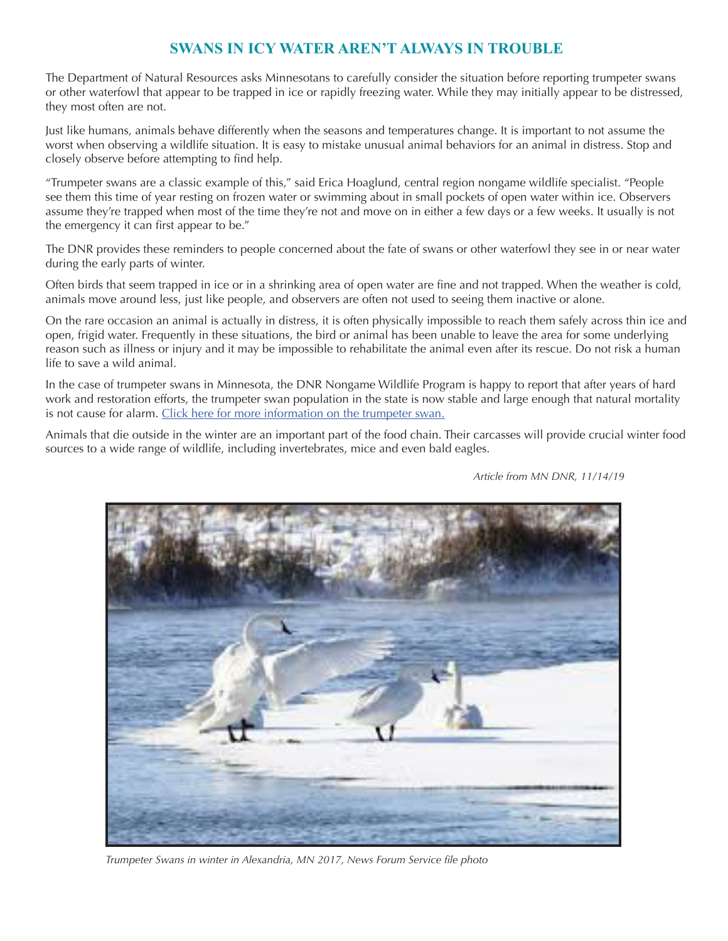# **SWANS IN ICY WATER AREN'T ALWAYS IN TROUBLE**

The Department of Natural Resources asks Minnesotans to carefully consider the situation before reporting trumpeter swans or other waterfowl that appear to be trapped in ice or rapidly freezing water. While they may initially appear to be distressed, they most often are not.

Just like humans, animals behave differently when the seasons and temperatures change. It is important to not assume the worst when observing a wildlife situation. It is easy to mistake unusual animal behaviors for an animal in distress. Stop and closely observe before attempting to find help.

"Trumpeter swans are a classic example of this," said Erica Hoaglund, central region nongame wildlife specialist. "People see them this time of year resting on frozen water or swimming about in small pockets of open water within ice. Observers assume they're trapped when most of the time they're not and move on in either a few days or a few weeks. It usually is not the emergency it can first appear to be."

The DNR provides these reminders to people concerned about the fate of swans or other waterfowl they see in or near water during the early parts of winter.

Often birds that seem trapped in ice or in a shrinking area of open water are fine and not trapped. When the weather is cold, animals move around less, just like people, and observers are often not used to seeing them inactive or alone.

On the rare occasion an animal is actually in distress, it is often physically impossible to reach them safely across thin ice and open, frigid water. Frequently in these situations, the bird or animal has been unable to leave the area for some underlying reason such as illness or injury and it may be impossible to rehabilitate the animal even after its rescue. Do not risk a human life to save a wild animal.

In the case of trumpeter swans in Minnesota, the DNR Nongame Wildlife Program is happy to report that after years of hard work and restoration efforts, the trumpeter swan population in the state is now stable and large enough that natural mortality is not cause for alarm. [Click here for more information on the trumpeter swan.](https://www.audubon.org/field-guide/bird/trumpeter-swan)

Animals that die outside in the winter are an important part of the food chain. Their carcasses will provide crucial winter food sources to a wide range of wildlife, including invertebrates, mice and even bald eagles.

 *Article from MN DNR, 11/14/19*



 *Trumpeter Swans in winter in Alexandria, MN 2017, News Forum Service file photo*